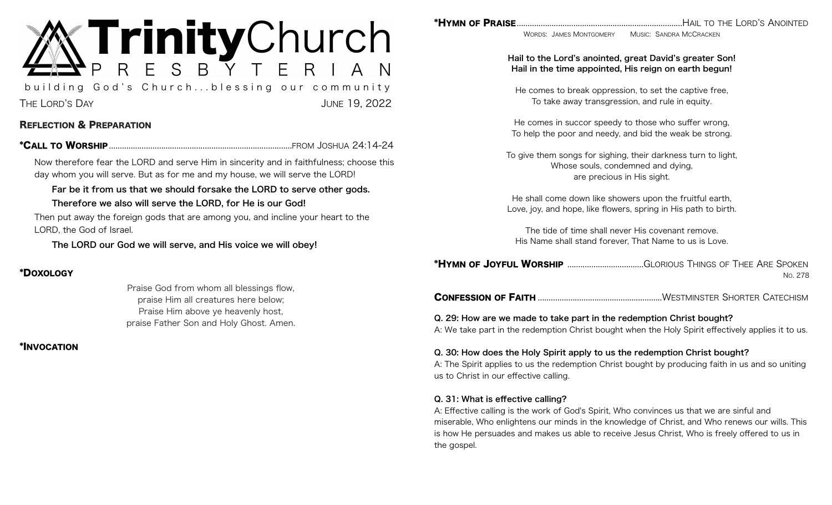### TrinityChurch R E  $S$

building God's Church...blessing our community THE LORD'S DAY **SALL ASSESSED ASSESSED A** UNIT ON THE 19, 2022

#### REFLECTION & PREPARATION

#### \*CALL TO WORSHIP ....................................................................................FROM JOSHUA 24:14-24

Now therefore fear the LORD and serve Him in sincerity and in faithfulness; choose this day whom you will serve. But as for me and my house, we will serve the LORD!

#### Far be it from us that we should forsake the LORD to serve other gods.

#### Therefore we also will serve the LORD, for He is our God!

Then put away the foreign gods that are among you, and incline your heart to the LORD, the God of Israel.

The LORD our God we will serve, and His voice we will obey!

#### \*DOXOLOGY

Praise God from whom all blessings flow, praise Him all creatures here below; Praise Him above ye heavenly host, praise Father Son and Holy Ghost. Amen.

#### \*INVOCATION

WORDS: JAMES MONTGOMERY MUSIC: SANDRA MCCRACKEN

#### Hail to the Lord's anointed, great David's greater Son! Hail in the time appointed, His reign on earth begun!

He comes to break oppression, to set the captive free, To take away transgression, and rule in equity.

He comes in succor speedy to those who suffer wrong, To help the poor and needy, and bid the weak be strong.

To give them songs for sighing, their darkness turn to light, Whose souls, condemned and dying, are precious in His sight.

He shall come down like showers upon the fruitful earth, Love, joy, and hope, like flowers, spring in His path to birth.

The tide of time shall never His covenant remove. His Name shall stand forever, That Name to us is Love.

|  | No. 278 |
|--|---------|

CONFESSION OF FAITH ..W ....................................................... ESTMINSTER SHORTER CATECHISM

Q. 29: How are we made to take part in the redemption Christ bought?

A: We take part in the redemption Christ bought when the Holy Spirit effectively applies it to us.

#### Q. 30: How does the Holy Spirit apply to us the redemption Christ bought?

A: The Spirit applies to us the redemption Christ bought by producing faith in us and so uniting us to Christ in our effective calling.

#### Q. 31: What is effective calling?

A: Effective calling is the work of God's Spirit, Who convinces us that we are sinful and miserable, Who enlightens our minds in the knowledge of Christ, and Who renews our wills. This is how He persuades and makes us able to receive Jesus Christ, Who is freely offered to us in the gospel.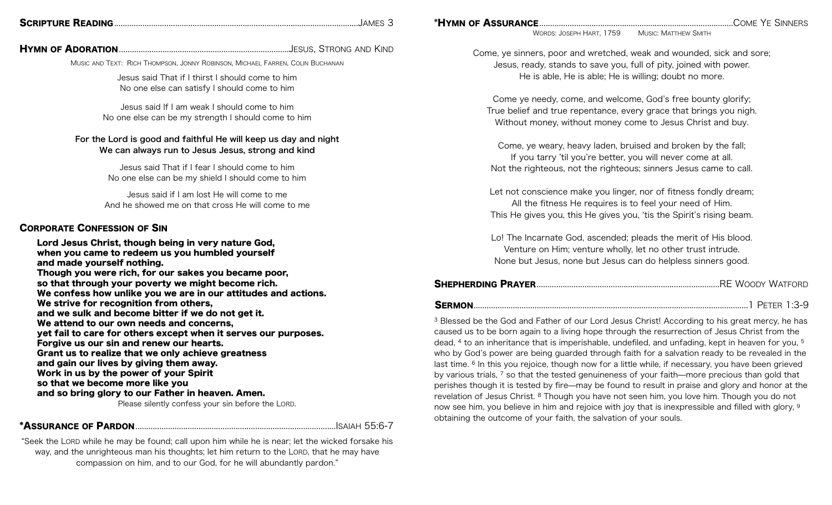#### SCRIPTURE READING ..J .............................................................................................................. AMES 3

#### \*HYMN OF ASSURANCE C ......................................................................................... OME YE SINNERS

WORDS: JOSEPH HART, 1759 MUSIC: MATTHEW SMITH

Come, ye sinners, poor and wretched, weak and wounded, sick and sore; Jesus, ready, stands to save you, full of pity, joined with power. He is able, He is able; He is willing; doubt no more.

Come ye needy, come, and welcome, God's free bounty glorify; True belief and true repentance, every grace that brings you nigh. Without money, without money come to Jesus Christ and buy.

Come, ye weary, heavy laden, bruised and broken by the fall; If you tarry 'til you're better, you will never come at all. Not the righteous, not the righteous; sinners Jesus came to call.

Let not conscience make you linger, nor of fitness fondly dream; All the fitness He requires is to feel your need of Him. This He gives you, this He gives you, ʻtis the Spirit's rising beam.

Lo! The Incarnate God, ascended; pleads the merit of His blood. Venture on Him; venture wholly, let no other trust intrude. None but Jesus, none but Jesus can do helpless sinners good.

|--|--|

#### SERMON 1 P .............................................................................................................................. ETER 1:3-9

<sup>3</sup> Blessed be the God and Father of our Lord Jesus Christ! According to his great mercy, he has caused us to be born again to a living hope through the resurrection of Jesus Christ from the dead, 4 to an inheritance that is imperishable, undefiled, and unfading, kept in heaven for you, 5 who by God's power are being guarded through faith for a salvation ready to be revealed in the last time. <sup>6</sup> In this you rejoice, though now for a little while, if necessary, you have been grieved by various trials, 7 so that the tested genuineness of your faith—more precious than gold that perishes though it is tested by fire̶may be found to result in praise and glory and honor at the revelation of Jesus Christ. 8 Though you have not seen him, you love him. Though you do not now see him, you believe in him and rejoice with joy that is inexpressible and filled with glory, 9 obtaining the outcome of your faith, the salvation of your souls.

#### HYMN OF ADORATION J .............................................................................. ESUS, STRONG AND KIND

MUSIC AND TEXT: RICH THOMPSON, JONNY ROBINSON, MICHAEL FARREN, COLIN BUCHANAN

Jesus said That if I thirst I should come to him No one else can satisfy I should come to him

Jesus said If I am weak I should come to him No one else can be my strength I should come to him

#### For the Lord is good and faithful He will keep us day and night We can always run to Jesus Jesus, strong and kind

Jesus said That if I fear I should come to him No one else can be my shield I should come to him

Jesus said if I am lost He will come to me And he showed me on that cross He will come to me

#### CORPORATE CONFESSION OF SIN

Lord Jesus Christ, though being in very nature God, when you came to redeem us you humbled yourself and made yourself nothing. Though you were rich, for our sakes you became poor, so that through your poverty we might become rich. We confess how unlike you we are in our attitudes and actions. We strive for recognition from others, and we sulk and become bitter if we do not get it. We attend to our own needs and concerns, yet fail to care for others except when it serves our purposes. Forgive us our sin and renew our hearts. Grant us to realize that we only achieve greatness and gain our lives by giving them away. Work in us by the power of your Spirit so that we become more like you and so bring glory to our Father in heaven. Amen. Please silently confess your sin before the LORD.

#### \*ASSURANCE OF PARDON I ............................................................................................ SAIAH 55:6-7

"Seek the LORD while he may be found; call upon him while he is near; let the wicked forsake his way, and the unrighteous man his thoughts; let him return to the LORD, that he may have compassion on him, and to our God, for he will abundantly pardon."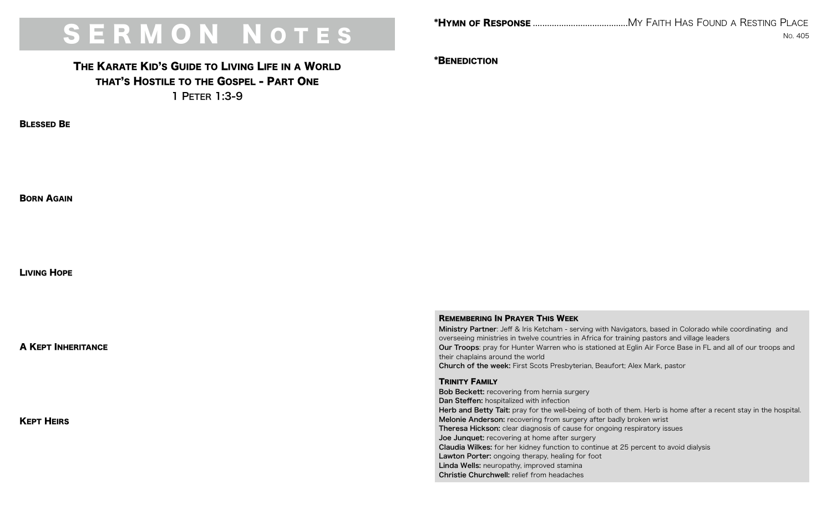# SERMON NOTES

### THE KARATE KID'S GUIDE TO LIVING LIFE IN A WORLD THAT'S HOSTILE TO THE GOSPEL - PART ONE 1 PETER 1:3-9

BLESSED BE

\*BENEDICTION

#### BORN AGAIN

LIVING HOPE

A KEPT INHERITANCE

KEPT HEIRS

#### REMEMBERING IN PRAYER THIS WEEK

Ministry Partner: Jeff & Iris Ketcham - serving with Navigators, based in Colorado while coordinating and overseeing ministries in twelve countries in Africa for training pastors and village leaders Our Troops: pray for Hunter Warren who is stationed at Eglin Air Force Base in FL and all of our troops and their chaplains around the world Church of the week: First Scots Presbyterian, Beaufort; Alex Mark, pastor

#### TRINITY FAMILY

Bob Beckett: recovering from hernia surgery Dan Steffen: hospitalized with infection Herb and Betty Tait: pray for the well-being of both of them. Herb is home after a recent stay in the hospital. Melonie Anderson: recovering from surgery after badly broken wrist Theresa Hickson: clear diagnosis of cause for ongoing respiratory issues Joe Junquet: recovering at home after surgery Claudia Wilkes: for her kidney function to continue at 25 percent to avoid dialysis Lawton Porter: ongoing therapy, healing for foot Linda Wells: neuropathy, improved stamina Christie Churchwell: relief from headaches